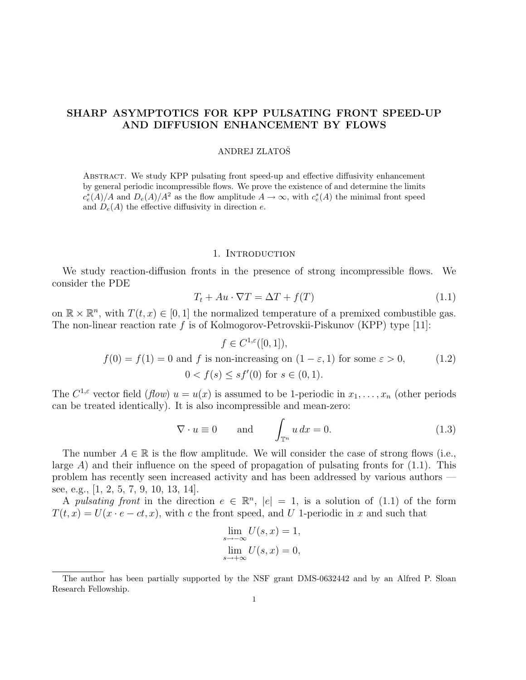# SHARP ASYMPTOTICS FOR KPP PULSATING FRONT SPEED-UP AND DIFFUSION ENHANCEMENT BY FLOWS

## ANDREJ ZLATOŠ

Abstract. We study KPP pulsating front speed-up and effective diffusivity enhancement by general periodic incompressible flows. We prove the existence of and determine the limits  $c_e^*(A)/A$  and  $D_e(A)/A^2$  as the flow amplitude  $A \to \infty$ , with  $c_e^*(A)$  the minimal front speed and  $D_e(A)$  the effective diffusivity in direction e.

#### 1. Introduction

We study reaction-diffusion fronts in the presence of strong incompressible flows. We consider the PDE

$$
T_t + Au \cdot \nabla T = \Delta T + f(T) \tag{1.1}
$$

on  $\mathbb{R} \times \mathbb{R}^n$ , with  $T(t, x) \in [0, 1]$  the normalized temperature of a premixed combustible gas. The non-linear reaction rate  $f$  is of Kolmogorov-Petrovskii-Piskunov (KPP) type [11]:

$$
f \in C^{1,\varepsilon}([0,1]),
$$
  

$$
f(0) = f(1) = 0 \text{ and } f \text{ is non-increasing on } (1 - \varepsilon, 1) \text{ for some } \varepsilon > 0,
$$
  

$$
0 < f(s) \le sf'(0) \text{ for } s \in (0,1).
$$
 (1.2)

The  $C^{1,\varepsilon}$  vector field  $(flow)$   $u = u(x)$  is assumed to be 1-periodic in  $x_1, \ldots, x_n$  (other periods can be treated identically). It is also incompressible and mean-zero:

$$
\nabla \cdot u \equiv 0 \quad \text{and} \quad \int_{\mathbb{T}^n} u \, dx = 0. \tag{1.3}
$$

The number  $A \in \mathbb{R}$  is the flow amplitude. We will consider the case of strong flows (i.e., large  $A$ ) and their influence on the speed of propagation of pulsating fronts for  $(1.1)$ . This problem has recently seen increased activity and has been addressed by various authors see, e.g., [1, 2, 5, 7, 9, 10, 13, 14].

A pulsating front in the direction  $e \in \mathbb{R}^n$ ,  $|e| = 1$ , is a solution of (1.1) of the form  $T(t, x) = U(x \cdot e - ct, x)$ , with c the front speed, and U 1-periodic in x and such that

$$
\lim_{s \to -\infty} U(s, x) = 1,
$$
  

$$
\lim_{s \to +\infty} U(s, x) = 0,
$$

The author has been partially supported by the NSF grant DMS-0632442 and by an Alfred P. Sloan Research Fellowship.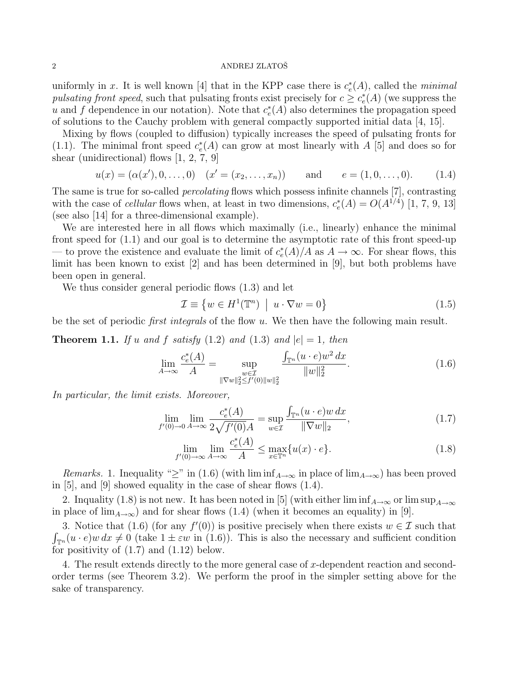## $2\,$  ANDREJ ZLATOŠ $\,$

uniformly in x. It is well known [4] that in the KPP case there is  $c_e^*(A)$ , called the minimal pulsating front speed, such that pulsating fronts exist precisely for  $c \geq c_e^*(A)$  (we suppress the u and f dependence in our notation). Note that  $c_e^*(A)$  also determines the propagation speed of solutions to the Cauchy problem with general compactly supported initial data [4, 15].

Mixing by flows (coupled to diffusion) typically increases the speed of pulsating fronts for (1.1). The minimal front speed  $c_e^*(A)$  can grow at most linearly with A [5] and does so for shear (unidirectional) flows [1, 2, 7, 9]

$$
u(x) = (\alpha(x'), 0, \dots, 0) \quad (x' = (x_2, \dots, x_n))
$$
 and  $e = (1, 0, \dots, 0).$  (1.4)

The same is true for so-called percolating flows which possess infinite channels [7], contrasting with the case of *cellular* flows when, at least in two dimensions,  $c_e^*(A) = O(A^{1/4})$  [1, 7, 9, 13] (see also [14] for a three-dimensional example).

We are interested here in all flows which maximally (i.e., linearly) enhance the minimal front speed for (1.1) and our goal is to determine the asymptotic rate of this front speed-up — to prove the existence and evaluate the limit of  $c_e^*(A)/A$  as  $A \to \infty$ . For shear flows, this limit has been known to exist [2] and has been determined in [9], but both problems have been open in general.

We thus consider general periodic flows (1.3) and let

$$
\mathcal{I} \equiv \{ w \in H^1(\mathbb{T}^n) \: \mid \: u \cdot \nabla w = 0 \}
$$
\n
$$
(1.5)
$$

be the set of periodic *first integrals* of the flow  $u$ . We then have the following main result.

**Theorem 1.1.** If u and f satisfy (1.2) and (1.3) and  $|e|=1$ , then

$$
\lim_{A \to \infty} \frac{c_e^*(A)}{A} = \sup_{\substack{w \in \mathcal{I} \\ \| \nabla w \|_2^2 \le f'(0) \| w \|_2^2}} \frac{\int_{\mathbb{T}^n} (u \cdot e) w^2 dx}{\| w \|_2^2}.
$$
\n(1.6)

In particular, the limit exists. Moreover,

$$
\lim_{f'(0)\to 0} \lim_{A\to\infty} \frac{c_e^*(A)}{2\sqrt{f'(0)}A} = \sup_{w\in\mathcal{I}} \frac{\int_{\mathbb{T}^n} (u \cdot e)w \, dx}{\|\nabla w\|_2},\tag{1.7}
$$

$$
\lim_{f'(0)\to\infty} \lim_{A\to\infty} \frac{c_e^*(A)}{A} \le \max_{x \in \mathbb{T}^n} \{u(x) \cdot e\}.
$$
\n(1.8)

Remarks. 1. Inequality "≥" in (1.6) (with  $\liminf_{A\to\infty}$  in place of  $\lim_{A\to\infty}$ ) has been proved in [5], and [9] showed equality in the case of shear flows (1.4).

2. Inquality (1.8) is not new. It has been noted in [5] (with either lim  $\inf_{A\to\infty}$  or lim  $\sup_{A\to\infty}$ in place of  $\lim_{A\to\infty}$ ) and for shear flows (1.4) (when it becomes an equality) in [9].

3. Notice that (1.6) (for any  $f'(0)$ ) is positive precisely when there exists  $w \in \mathcal{I}$  such that  $\int_{\mathbb{T}^n} (u \cdot e) w \, dx \neq 0$  (take  $1 \pm \varepsilon w$  in (1.6)). This is also the necessary and sufficient condition for positivity of  $(1.7)$  and  $(1.12)$  below.

4. The result extends directly to the more general case of x-dependent reaction and secondorder terms (see Theorem 3.2). We perform the proof in the simpler setting above for the sake of transparency.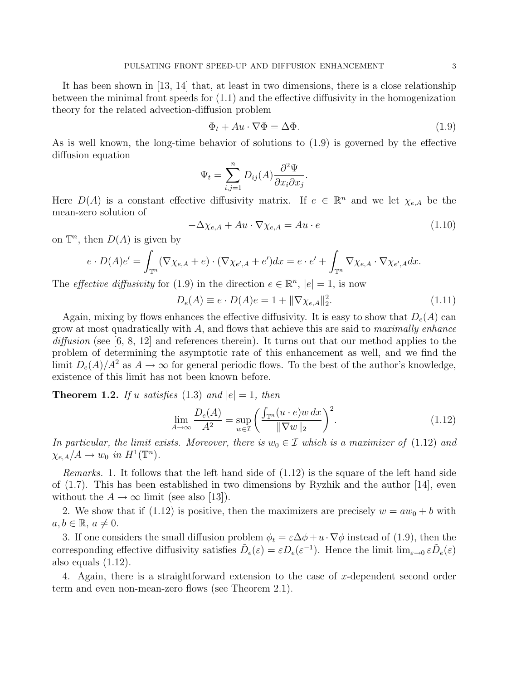It has been shown in [13, 14] that, at least in two dimensions, there is a close relationship between the minimal front speeds for (1.1) and the effective diffusivity in the homogenization theory for the related advection-diffusion problem

$$
\Phi_t + Au \cdot \nabla \Phi = \Delta \Phi. \tag{1.9}
$$

As is well known, the long-time behavior of solutions to (1.9) is governed by the effective diffusion equation

$$
\Psi_t = \sum_{i,j=1}^n D_{ij}(A) \frac{\partial^2 \Psi}{\partial x_i \partial x_j}.
$$

Here  $D(A)$  is a constant effective diffusivity matrix. If  $e \in \mathbb{R}^n$  and we let  $\chi_{e,A}$  be the mean-zero solution of

$$
-\Delta \chi_{e,A} + Au \cdot \nabla \chi_{e,A} = Au \cdot e \tag{1.10}
$$

on  $\mathbb{T}^n$ , then  $D(A)$  is given by

$$
e \cdot D(A)e' = \int_{\mathbb{T}^n} (\nabla \chi_{e,A} + e) \cdot (\nabla \chi_{e',A} + e') dx = e \cdot e' + \int_{\mathbb{T}^n} \nabla \chi_{e,A} \cdot \nabla \chi_{e',A} dx.
$$

The *effective diffusivity* for (1.9) in the direction  $e \in \mathbb{R}^n$ ,  $|e|=1$ , is now

$$
D_e(A) \equiv e \cdot D(A)e = 1 + \|\nabla \chi_{e,A}\|_2^2.
$$
 (1.11)

Again, mixing by flows enhances the effective diffusivity. It is easy to show that  $D_e(A)$  can grow at most quadratically with  $A$ , and flows that achieve this are said to *maximally enhance*  $diffusion$  (see [6, 8, 12] and references therein). It turns out that our method applies to the problem of determining the asymptotic rate of this enhancement as well, and we find the limit  $D_e(A)/A^2$  as  $A \to \infty$  for general periodic flows. To the best of the author's knowledge, existence of this limit has not been known before.

**Theorem 1.2.** If u satisfies (1.3) and  $|e|=1$ , then

$$
\lim_{A \to \infty} \frac{D_e(A)}{A^2} = \sup_{w \in \mathcal{I}} \left( \frac{\int_{\mathbb{T}^n} (u \cdot e) w \, dx}{\|\nabla w\|_2} \right)^2.
$$
\n(1.12)

In particular, the limit exists. Moreover, there is  $w_0 \in \mathcal{I}$  which is a maximizer of (1.12) and  $\chi_{e,A}/A \to w_0$  in  $H^1(\mathbb{T}^n)$ .

Remarks. 1. It follows that the left hand side of (1.12) is the square of the left hand side of  $(1.7)$ . This has been established in two dimensions by Ryzhik and the author [14], even without the  $A \to \infty$  limit (see also [13]).

2. We show that if (1.12) is positive, then the maximizers are precisely  $w = aw_0 + b$  with  $a, b \in \mathbb{R}, a \neq 0.$ 

3. If one considers the small diffusion problem  $\phi_t = \varepsilon \Delta \phi + u \cdot \nabla \phi$  instead of (1.9), then the corresponding effective diffusivity satisfies  $\tilde{D}_e(\varepsilon) = \varepsilon D_e(\varepsilon^{-1})$ . Hence the limit  $\lim_{\varepsilon \to 0} \varepsilon \tilde{D}_e(\varepsilon)$ also equals (1.12).

4. Again, there is a straightforward extension to the case of x-dependent second order term and even non-mean-zero flows (see Theorem 2.1).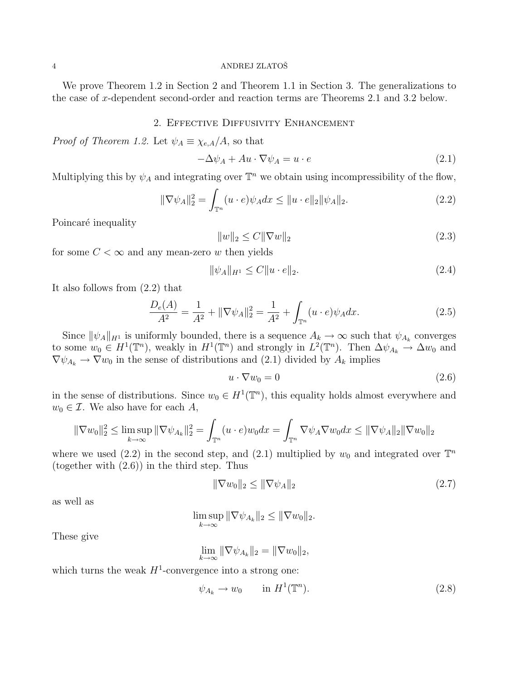## 4 ANDREJ ZLATOŠ

We prove Theorem 1.2 in Section 2 and Theorem 1.1 in Section 3. The generalizations to the case of x-dependent second-order and reaction terms are Theorems 2.1 and 3.2 below.

# 2. Effective Diffusivity Enhancement

*Proof of Theorem 1.2.* Let  $\psi_A \equiv \chi_{e,A}/A$ , so that

$$
-\Delta \psi_A + Au \cdot \nabla \psi_A = u \cdot e \tag{2.1}
$$

Multiplying this by  $\psi_A$  and integrating over  $\mathbb{T}^n$  we obtain using incompressibility of the flow,

$$
\|\nabla \psi_A\|_2^2 = \int_{\mathbb{T}^n} (u \cdot e) \psi_A dx \le \|u \cdot e\|_2 \|\psi_A\|_2.
$$
 (2.2)

Poincaré inequality

$$
||w||_2 \le C||\nabla w||_2 \tag{2.3}
$$

for some  $C < \infty$  and any mean-zero w then yields

$$
\|\psi_A\|_{H^1} \le C \|u \cdot e\|_2. \tag{2.4}
$$

It also follows from (2.2) that

$$
\frac{D_e(A)}{A^2} = \frac{1}{A^2} + \|\nabla \psi_A\|_2^2 = \frac{1}{A^2} + \int_{\mathbb{T}^n} (u \cdot e) \psi_A dx.
$$
 (2.5)

Since  $\|\psi_A\|_{H^1}$  is uniformly bounded, there is a sequence  $A_k \to \infty$  such that  $\psi_{A_k}$  converges to some  $w_0 \in H^1(\mathbb{T}^n)$ , weakly in  $H^1(\mathbb{T}^n)$  and strongly in  $L^2(\mathbb{T}^n)$ . Then  $\Delta \psi_{A_k} \stackrel{\sim}{\rightarrow} \Delta w_0$  and  $\nabla \psi_{A_k} \rightarrow \nabla w_0$  in the sense of distributions and (2.1) divided by  $A_k$  implies

$$
u \cdot \nabla w_0 = 0 \tag{2.6}
$$

in the sense of distributions. Since  $w_0 \in H^1(\mathbb{T}^n)$ , this equality holds almost everywhere and  $w_0 \in \mathcal{I}$ . We also have for each A,

$$
\|\nabla w_0\|_2^2 \le \limsup_{k \to \infty} \|\nabla \psi_{A_k}\|_2^2 = \int_{\mathbb{T}^n} (u \cdot e) w_0 dx = \int_{\mathbb{T}^n} \nabla \psi_A \nabla w_0 dx \le \|\nabla \psi_A\|_2 \|\nabla w_0\|_2
$$

where we used (2.2) in the second step, and (2.1) multiplied by  $w_0$  and integrated over  $\mathbb{T}^n$ (together with (2.6)) in the third step. Thus

$$
\|\nabla w_0\|_2 \le \|\nabla \psi_A\|_2 \tag{2.7}
$$

as well as

$$
\limsup_{k\to\infty} \|\nabla \psi_{A_k}\|_2 \le \|\nabla w_0\|_2.
$$

These give

$$
\lim_{k \to \infty} \|\nabla \psi_{A_k}\|_2 = \|\nabla w_0\|_2,
$$

which turns the weak  $H^1$ -convergence into a strong one:

$$
\psi_{A_k} \to w_0 \qquad \text{in } H^1(\mathbb{T}^n). \tag{2.8}
$$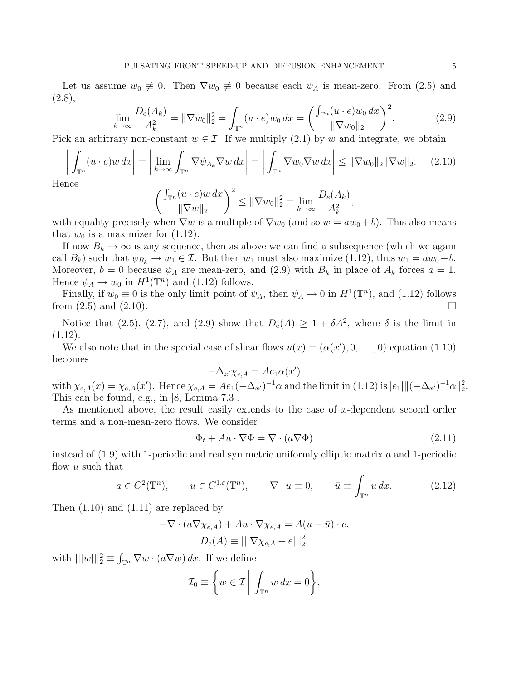Let us assume  $w_0 \neq 0$ . Then  $\nabla w_0 \neq 0$  because each  $\psi_A$  is mean-zero. From (2.5) and  $(2.8),$ 

$$
\lim_{k \to \infty} \frac{D_e(A_k)}{A_k^2} = \|\nabla w_0\|_2^2 = \int_{\mathbb{T}^n} (u \cdot e) w_0 \, dx = \left(\frac{\int_{\mathbb{T}^n} (u \cdot e) w_0 \, dx}{\|\nabla w_0\|_2}\right)^2. \tag{2.9}
$$

Pick an arbitrary non-constant  $w \in \mathcal{I}$ . If we multiply (2.1) by w and integrate, we obtain

$$
\left| \int_{\mathbb{T}^n} (u \cdot e) w \, dx \right| = \left| \lim_{k \to \infty} \int_{\mathbb{T}^n} \nabla \psi_{A_k} \nabla w \, dx \right| = \left| \int_{\mathbb{T}^n} \nabla w_0 \nabla w \, dx \right| \leq ||\nabla w_0||_2 ||\nabla w||_2. \tag{2.10}
$$

Hence

$$
\left(\frac{\int_{\mathbb{T}^n} (u \cdot e)w \, dx}{\|\nabla w\|_2}\right)^2 \le \|\nabla w_0\|_2^2 = \lim_{k \to \infty} \frac{D_e(A_k)}{A_k^2},
$$

with equality precisely when  $\nabla w$  is a multiple of  $\nabla w_0$  (and so  $w = aw_0 + b$ ). This also means that  $w_0$  is a maximizer for  $(1.12)$ .

If now  $B_k \to \infty$  is any sequence, then as above we can find a subsequence (which we again call  $B_k$ ) such that  $\psi_{B_k} \to w_1 \in \mathcal{I}$ . But then  $w_1$  must also maximize (1.12), thus  $w_1 = aw_0 + b$ . Moreover,  $b = 0$  because  $\psi_A$  are mean-zero, and (2.9) with  $B_k$  in place of  $A_k$  forces  $a = 1$ . Hence  $\psi_A \to w_0$  in  $H^1(\mathbb{T}^n)$  and (1.12) follows.

Finally, if  $w_0 \equiv 0$  is the only limit point of  $\psi_A$ , then  $\psi_A \to 0$  in  $H^1(\mathbb{T}^n)$ , and (1.12) follows from  $(2.5)$  and  $(2.10)$ .

Notice that (2.5), (2.7), and (2.9) show that  $D_e(A) \geq 1 + \delta A^2$ , where  $\delta$  is the limit in  $(1.12).$ 

We also note that in the special case of shear flows  $u(x) = (\alpha(x'), 0, \ldots, 0)$  equation (1.10) becomes

$$
-\Delta_{x'}\chi_{e,A} = Ae_1\alpha(x')
$$

with  $\chi_{e,A}(x) = \chi_{e,A}(x')$ . Hence  $\chi_{e,A} = Ae_1(-\Delta_{x'})^{-1}\alpha$  and the limit in (1.12) is  $|e_1|||(-\Delta_{x'})^{-1}\alpha||_2^2$ . This can be found, e.g., in [8, Lemma 7.3].

As mentioned above, the result easily extends to the case of  $x$ -dependent second order terms and a non-mean-zero flows. We consider

$$
\Phi_t + Au \cdot \nabla \Phi = \nabla \cdot (a \nabla \Phi) \tag{2.11}
$$

instead of  $(1.9)$  with 1-periodic and real symmetric uniformly elliptic matrix a and 1-periodic flow  $u$  such that

$$
a \in C^2(\mathbb{T}^n)
$$
,  $u \in C^{1,\varepsilon}(\mathbb{T}^n)$ ,  $\nabla \cdot u \equiv 0$ ,  $\bar{u} \equiv \int_{\mathbb{T}^n} u \, dx$ . (2.12)

Then (1.10) and (1.11) are replaced by

$$
-\nabla \cdot (a\nabla \chi_{e,A}) + Au \cdot \nabla \chi_{e,A} = A(u - \bar{u}) \cdot e,
$$
  

$$
D_e(A) \equiv |||\nabla \chi_{e,A} + e|||_2^2,
$$

with  $|||w||_2^2 \equiv \int_{\mathbb{T}^n} \nabla w \cdot (a \nabla w) dx$ . If we define

$$
\mathcal{I}_0 \equiv \left\{ w \in \mathcal{I} \middle| \int_{\mathbb{T}^n} w \, dx = 0 \right\},\
$$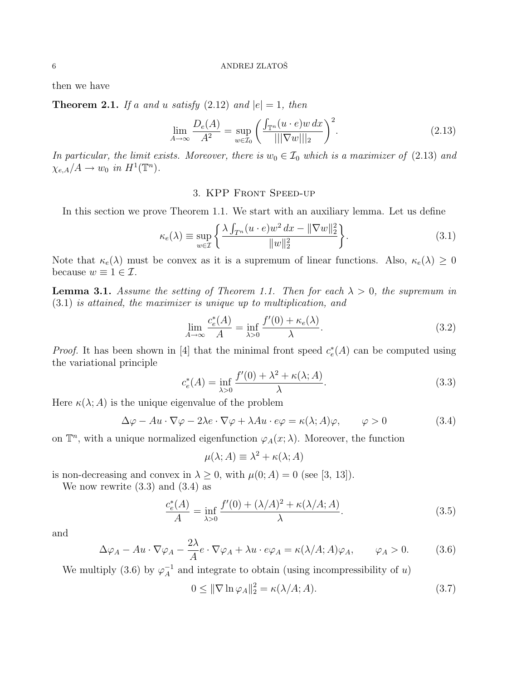then we have

**Theorem 2.1.** If a and u satisfy  $(2.12)$  and  $|e|=1$ , then

$$
\lim_{A \to \infty} \frac{D_e(A)}{A^2} = \sup_{w \in \mathcal{I}_0} \left( \frac{\int_{\mathbb{T}^n} (u \cdot e) w \, dx}{|||\nabla w|||_2} \right)^2.
$$
\n(2.13)

In particular, the limit exists. Moreover, there is  $w_0 \in \mathcal{I}_0$  which is a maximizer of (2.13) and  $\chi_{e,A}/A \to w_0$  in  $H^1(\mathbb{T}^n)$ .

## 3. KPP Front Speed-up

In this section we prove Theorem 1.1. We start with an auxiliary lemma. Let us define

$$
\kappa_e(\lambda) \equiv \sup_{w \in \mathcal{I}} \left\{ \frac{\lambda \int_{T^n} (u \cdot e) w^2 dx - ||\nabla w||_2^2}{||w||_2^2} \right\}.
$$
\n(3.1)

Note that  $\kappa_e(\lambda)$  must be convex as it is a supremum of linear functions. Also,  $\kappa_e(\lambda) \geq 0$ because  $w \equiv 1 \in \mathcal{I}$ .

**Lemma 3.1.** Assume the setting of Theorem 1.1. Then for each  $\lambda > 0$ , the supremum in (3.1) is attained, the maximizer is unique up to multiplication, and

$$
\lim_{A \to \infty} \frac{c_e^*(A)}{A} = \inf_{\lambda > 0} \frac{f'(0) + \kappa_e(\lambda)}{\lambda}.\tag{3.2}
$$

*Proof.* It has been shown in [4] that the minimal front speed  $c_e^*(A)$  can be computed using the variational principle

$$
c_e^*(A) = \inf_{\lambda > 0} \frac{f'(0) + \lambda^2 + \kappa(\lambda; A)}{\lambda}.
$$
\n(3.3)

Here  $\kappa(\lambda; A)$  is the unique eigenvalue of the problem

$$
\Delta \varphi - Au \cdot \nabla \varphi - 2\lambda e \cdot \nabla \varphi + \lambda Au \cdot e\varphi = \kappa(\lambda; A)\varphi, \qquad \varphi > 0 \tag{3.4}
$$

on  $\mathbb{T}^n$ , with a unique normalized eigenfunction  $\varphi_A(x; \lambda)$ . Moreover, the function

$$
\mu(\lambda; A) \equiv \lambda^2 + \kappa(\lambda; A)
$$

is non-decreasing and convex in  $\lambda \geq 0$ , with  $\mu(0; A) = 0$  (see [3, 13]).

We now rewrite  $(3.3)$  and  $(3.4)$  as

$$
\frac{c_e^*(A)}{A} = \inf_{\lambda > 0} \frac{f'(0) + (\lambda/A)^2 + \kappa(\lambda/A; A)}{\lambda}.\tag{3.5}
$$

and

$$
\Delta \varphi_A - Au \cdot \nabla \varphi_A - \frac{2\lambda}{A} e \cdot \nabla \varphi_A + \lambda u \cdot e \varphi_A = \kappa (\lambda/A; A) \varphi_A, \qquad \varphi_A > 0. \tag{3.6}
$$

We multiply (3.6) by  $\varphi_A^{-1}$  $_{A}^{-1}$  and integrate to obtain (using incompressibility of u)

$$
0 \leq \|\nabla \ln \varphi_A\|_2^2 = \kappa(\lambda/A; A). \tag{3.7}
$$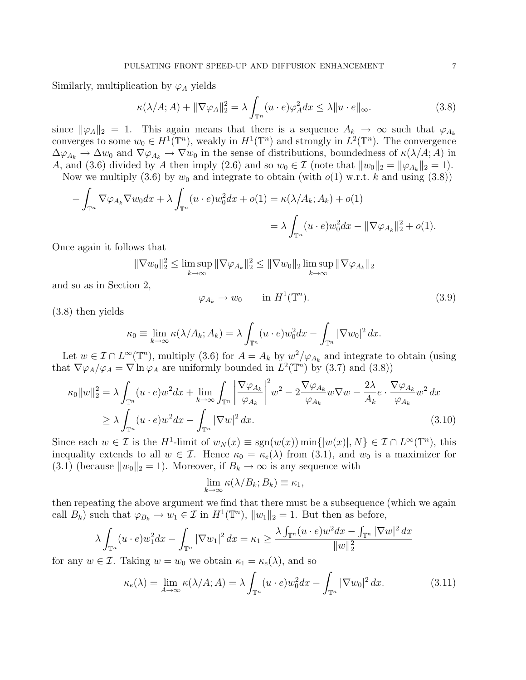Similarly, multiplication by  $\varphi_A$  yields

$$
\kappa(\lambda/A;A) + \|\nabla\varphi_A\|_2^2 = \lambda \int_{\mathbb{T}^n} (u \cdot e)\varphi_A^2 dx \le \lambda \|u \cdot e\|_{\infty}.
$$
 (3.8)

since  $\|\varphi_A\|_2 = 1$ . This again means that there is a sequence  $A_k \to \infty$  such that  $\varphi_{A_k}$ converges to some  $w_0 \in H^1(\mathbb{T}^n)$ , weakly in  $H^1(\mathbb{T}^n)$  and strongly in  $L^2(\mathbb{T}^n)$ . The convergence  $\Delta\varphi_{A_k} \to \Delta w_0$  and  $\nabla\varphi_{A_k} \to \nabla w_0$  in the sense of distributions, boundedness of  $\kappa(\lambda/A;A)$  in A, and (3.6) divided by A then imply (2.6) and so  $w_0 \in \mathcal{I}$  (note that  $||w_0||_2 = ||\varphi_{A_k}||_2 = 1$ ).

Now we multiply (3.6) by  $w_0$  and integrate to obtain (with  $o(1)$  w.r.t. k and using (3.8))

$$
-\int_{\mathbb{T}^n} \nabla \varphi_{A_k} \nabla w_0 dx + \lambda \int_{\mathbb{T}^n} (u \cdot e) w_0^2 dx + o(1) = \kappa(\lambda/A_k; A_k) + o(1)
$$
  

$$
= \lambda \int_{\mathbb{T}^n} (u \cdot e) w_0^2 dx - ||\nabla \varphi_{A_k}||_2^2 + o(1).
$$

Once again it follows that

$$
\|\nabla w_0\|_2^2 \le \limsup_{k \to \infty} \|\nabla \varphi_{A_k}\|_2^2 \le \|\nabla w_0\|_2 \limsup_{k \to \infty} \|\nabla \varphi_{A_k}\|_2
$$

and so as in Section 2,

$$
\varphi_{A_k} \to w_0 \qquad \text{in } H^1(\mathbb{T}^n). \tag{3.9}
$$

(3.8) then yields

$$
\kappa_0 \equiv \lim_{k \to \infty} \kappa(\lambda/A_k; A_k) = \lambda \int_{\mathbb{T}^n} (u \cdot e) w_0^2 dx - \int_{\mathbb{T}^n} |\nabla w_0|^2 dx.
$$

Let  $w \in \mathcal{I} \cap L^{\infty}(\mathbb{T}^n)$ , multiply (3.6) for  $A = A_k$  by  $w^2/\varphi_{A_k}$  and integrate to obtain (using that  $\nabla \varphi_A / \varphi_A = \nabla \ln \varphi_A$  are uniformly bounded in  $L^2(\mathbb{T}^n)$  by (3.7) and (3.8))

$$
\kappa_0 \|w\|_2^2 = \lambda \int_{\mathbb{T}^n} (u \cdot e) w^2 dx + \lim_{k \to \infty} \int_{\mathbb{T}^n} \left| \frac{\nabla \varphi_{A_k}}{\varphi_{A_k}} \right|^2 w^2 - 2 \frac{\nabla \varphi_{A_k}}{\varphi_{A_k}} w \nabla w - \frac{2\lambda}{A_k} e \cdot \frac{\nabla \varphi_{A_k}}{\varphi_{A_k}} w^2 dx
$$
  
\n
$$
\geq \lambda \int_{\mathbb{T}^n} (u \cdot e) w^2 dx - \int_{\mathbb{T}^n} |\nabla w|^2 dx. \tag{3.10}
$$

Since each  $w \in \mathcal{I}$  is the H<sup>1</sup>-limit of  $w_N(x) \equiv \text{sgn}(w(x)) \min\{|w(x)|, N\} \in \mathcal{I} \cap L^{\infty}(\mathbb{T}^n)$ , this inequality extends to all  $w \in \mathcal{I}$ . Hence  $\kappa_0 = \kappa_e(\lambda)$  from (3.1), and  $w_0$  is a maximizer for (3.1) (because  $||w_0||_2 = 1$ ). Moreover, if  $B_k \to \infty$  is any sequence with

$$
\lim_{k \to \infty} \kappa(\lambda/B_k; B_k) \equiv \kappa_1,
$$

then repeating the above argument we find that there must be a subsequence (which we again call  $B_k$ ) such that  $\varphi_{B_k} \to w_1 \in \mathcal{I}$  in  $H^1(\mathbb{T}^n)$ ,  $||w_1||_2 = 1$ . But then as before,

$$
\lambda \int_{\mathbb{T}^n} (u \cdot e) w_1^2 dx - \int_{\mathbb{T}^n} |\nabla w_1|^2 dx = \kappa_1 \ge \frac{\lambda \int_{\mathbb{T}^n} (u \cdot e) w^2 dx - \int_{\mathbb{T}^n} |\nabla w|^2 dx}{\|w\|_2^2}
$$

for any  $w \in \mathcal{I}$ . Taking  $w = w_0$  we obtain  $\kappa_1 = \kappa_e(\lambda)$ , and so

$$
\kappa_e(\lambda) = \lim_{A \to \infty} \kappa(\lambda/A; A) = \lambda \int_{\mathbb{T}^n} (u \cdot e) w_0^2 dx - \int_{\mathbb{T}^n} |\nabla w_0|^2 dx.
$$
 (3.11)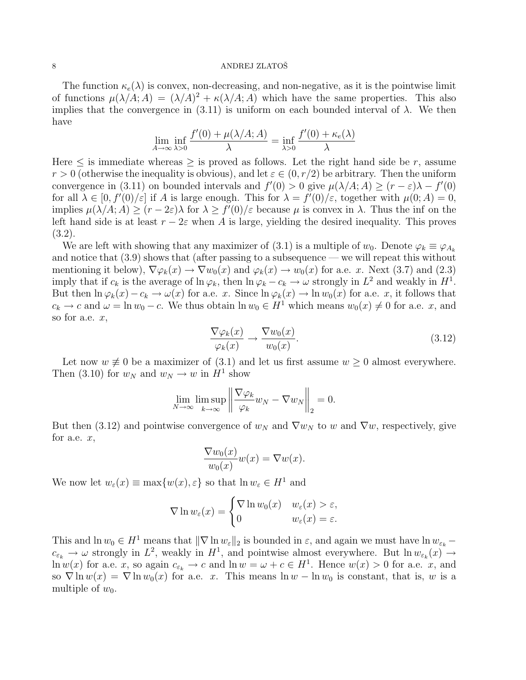#### 8 ANDREJ ZLATOŠ

The function  $\kappa_e(\lambda)$  is convex, non-decreasing, and non-negative, as it is the pointwise limit of functions  $\mu(\lambda/A; A) = (\lambda/A)^2 + \kappa(\lambda/A; A)$  which have the same properties. This also implies that the convergence in (3.11) is uniform on each bounded interval of  $\lambda$ . We then have

$$
\lim_{A \to \infty} \inf_{\lambda > 0} \frac{f'(0) + \mu(\lambda/A; A)}{\lambda} = \inf_{\lambda > 0} \frac{f'(0) + \kappa_e(\lambda)}{\lambda}
$$

Here  $\leq$  is immediate whereas  $\geq$  is proved as follows. Let the right hand side be r, assume  $r > 0$  (otherwise the inequality is obvious), and let  $\varepsilon \in (0, r/2)$  be arbitrary. Then the uniform convergence in (3.11) on bounded intervals and  $f'(0) > 0$  give  $\mu(\lambda/A; A) \ge (r - \varepsilon)\lambda - f'(0)$ for all  $\lambda \in [0, f'(0)/\varepsilon]$  if A is large enough. This for  $\lambda = f'(0)/\varepsilon$ , together with  $\mu(0; A) = 0$ , implies  $\mu(\lambda/A; A) \ge (r - 2\varepsilon)\lambda$  for  $\lambda \ge f'(0)/\varepsilon$  because  $\mu$  is convex in  $\lambda$ . Thus the inf on the left hand side is at least  $r - 2\varepsilon$  when A is large, yielding the desired inequality. This proves (3.2).

We are left with showing that any maximizer of (3.1) is a multiple of  $w_0$ . Denote  $\varphi_k \equiv \varphi_{A_k}$ and notice that (3.9) shows that (after passing to a subsequence — we will repeat this without mentioning it below),  $\nabla \varphi_k(x) \to \nabla w_0(x)$  and  $\varphi_k(x) \to w_0(x)$  for a.e. x. Next (3.7) and (2.3) imply that if  $c_k$  is the average of  $\ln \varphi_k$ , then  $\ln \varphi_k - c_k \to \omega$  strongly in  $L^2$  and weakly in  $H^1$ . But then  $\ln \varphi_k(x) - c_k \to \omega(x)$  for a.e. x. Since  $\ln \varphi_k(x) \to \ln w_0(x)$  for a.e. x, it follows that  $c_k \to c$  and  $\omega = \ln w_0 - c$ . We thus obtain  $\ln w_0 \in H^1$  which means  $w_0(x) \neq 0$  for a.e. x, and so for a.e.  $x$ ,

$$
\frac{\nabla \varphi_k(x)}{\varphi_k(x)} \to \frac{\nabla w_0(x)}{w_0(x)}.
$$
\n(3.12)

Let now  $w \neq 0$  be a maximizer of (3.1) and let us first assume  $w \geq 0$  almost everywhere. Then (3.10) for  $w_N$  and  $w_N \to w$  in  $H^1$  show

$$
\lim_{N \to \infty} \limsup_{k \to \infty} \left\| \frac{\nabla \varphi_k}{\varphi_k} w_N - \nabla w_N \right\|_2 = 0.
$$

But then (3.12) and pointwise convergence of  $w_N$  and  $\nabla w_N$  to w and  $\nabla w$ , respectively, give for a.e.  $x$ ,

$$
\frac{\nabla w_0(x)}{w_0(x)}w(x) = \nabla w(x).
$$

We now let  $w_{\varepsilon}(x) \equiv \max\{w(x), \varepsilon\}$  so that  $\ln w_{\varepsilon} \in H^1$  and

$$
\nabla \ln w_{\varepsilon}(x) = \begin{cases} \nabla \ln w_0(x) & w_{\varepsilon}(x) > \varepsilon, \\ 0 & w_{\varepsilon}(x) = \varepsilon. \end{cases}
$$

This and  $\ln w_0 \in H^1$  means that  $\|\nabla \ln w_{\varepsilon}\|_2$  is bounded in  $\varepsilon$ , and again we must have  $\ln w_{\varepsilon_k}$  −  $c_{\varepsilon_k} \to \omega$  strongly in  $L^2$ , weakly in  $H^1$ , and pointwise almost everywhere. But  $\ln w_{\varepsilon_k}(x) \to$  $\ln w(x)$  for a.e. x, so again  $c_{\varepsilon_k} \to c$  and  $\ln w = \omega + c \in H^1$ . Hence  $w(x) > 0$  for a.e. x, and so  $\nabla \ln w(x) = \nabla \ln w_0(x)$  for a.e. x. This means  $\ln w - \ln w_0$  is constant, that is, w is a multiple of  $w_0$ .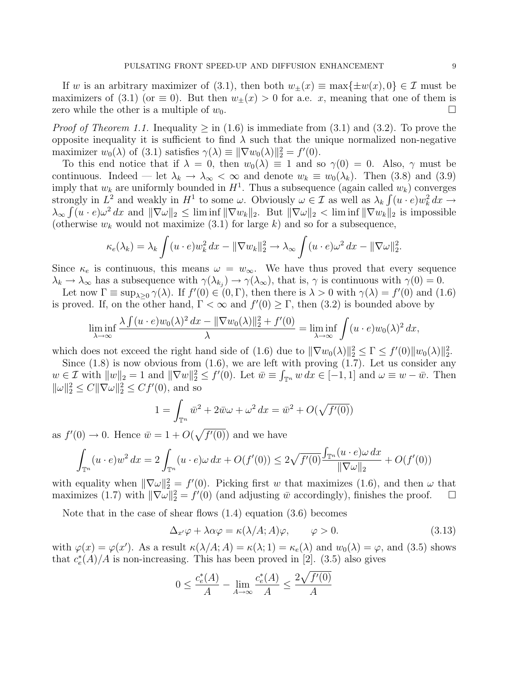If w is an arbitrary maximizer of (3.1), then both  $w_{\pm}(x) \equiv \max\{\pm w(x), 0\} \in \mathcal{I}$  must be maximizers of (3.1) (or  $\equiv$  0). But then  $w_{\pm}(x) > 0$  for a.e. x, meaning that one of them is zero while the other is a multiple of  $w_0$ .

*Proof of Theorem 1.1.* Inequality  $>$  in (1.6) is immediate from (3.1) and (3.2). To prove the opposite inequality it is sufficient to find  $\lambda$  such that the unique normalized non-negative maximizer  $w_0(\lambda)$  of (3.1) satisfies  $\gamma(\lambda) \equiv ||\nabla w_0(\lambda)||_2^2 = f'(0)$ .

To this end notice that if  $\lambda = 0$ , then  $w_0(\lambda) \equiv 1$  and so  $\gamma(0) = 0$ . Also,  $\gamma$  must be continuous. Indeed — let  $\lambda_k \to \lambda_\infty < \infty$  and denote  $w_k \equiv w_0(\lambda_k)$ . Then (3.8) and (3.9) imply that  $w_k$  are uniformly bounded in  $H^1$ . Thus a subsequence (again called  $w_k$ ) converges strongly in  $L^2$  and weakly in  $H^1$  to some  $\omega$ . Obviously  $\omega \in \mathcal{I}$  as well as  $\lambda_k \int (u \cdot e) w_k^2 dx \to$  $\lambda_{\infty} \int (u \cdot e) \omega^2 dx$  and  $\|\nabla \omega\|_2 \leq \liminf \|\nabla w_k\|_2$ . But  $\|\nabla \omega\|_2 < \liminf \|\nabla w_k\|_2$  is impossible (otherwise  $w_k$  would not maximize (3.1) for large k) and so for a subsequence,

$$
\kappa_e(\lambda_k) = \lambda_k \int (u \cdot e) w_k^2 dx - ||\nabla w_k||_2^2 \to \lambda_\infty \int (u \cdot e) \omega^2 dx - ||\nabla \omega||_2^2.
$$

Since  $\kappa_e$  is continuous, this means  $\omega = w_\infty$ . We have thus proved that every sequence  $\lambda_k \to \lambda_\infty$  has a subsequence with  $\gamma(\lambda_{k_j}) \to \gamma(\lambda_\infty)$ , that is,  $\gamma$  is continuous with  $\gamma(0) = 0$ .

Let now  $\Gamma \equiv \sup_{\lambda \geq 0} \gamma(\lambda)$ . If  $f'(0) \in (0, \Gamma)$ , then there is  $\lambda > 0$  with  $\gamma(\lambda) = f'(0)$  and  $(1.6)$ is proved. If, on the other hand,  $\Gamma < \infty$  and  $f'(0) \geq \Gamma$ , then (3.2) is bounded above by

$$
\liminf_{\lambda \to \infty} \frac{\lambda \int (u \cdot e) w_0(\lambda)^2 dx - \|\nabla w_0(\lambda)\|_2^2 + f'(0)}{\lambda} = \liminf_{\lambda \to \infty} \int (u \cdot e) w_0(\lambda)^2 dx,
$$

which does not exceed the right hand side of (1.6) due to  $\|\nabla w_0(\lambda)\|_2^2 \leq \Gamma \leq f'(0) \|w_0(\lambda)\|_2^2$ .

Since  $(1.8)$  is now obvious from  $(1.6)$ , we are left with proving  $(1.7)$ . Let us consider any  $w \in \mathcal{I}$  with  $||w||_2 = 1$  and  $||\nabla w||_2^2 \le f'(0)$ . Let  $\bar{w} \equiv \int_{\mathbb{T}^n} w \, dx \in [-1, 1]$  and  $\omega \equiv w - \bar{w}$ . Then  $\|\omega\|_2^2 \le C \|\nabla \omega\|_2^2 \le C f'(0)$ , and so

$$
1 = \int_{\mathbb{T}^n} \bar{w}^2 + 2\bar{w}\omega + \omega^2 dx = \bar{w}^2 + O(\sqrt{f'(0)})
$$

as  $f'(0) \to 0$ . Hence  $\bar{w} = 1 + O(\sqrt{f'(0)})$  and we have

$$
\int_{\mathbb{T}^n} (u \cdot e) w^2 dx = 2 \int_{\mathbb{T}^n} (u \cdot e) \omega dx + O(f'(0)) \le 2\sqrt{f'(0)} \frac{\int_{\mathbb{T}^n} (u \cdot e) \omega dx}{\|\nabla \omega\|_2} + O(f'(0))
$$

with equality when  $\|\nabla\omega\|_2^2 = f'(0)$ . Picking first w that maximizes (1.6), and then  $\omega$  that maximizes (1.7) with  $\|\nabla \omega\|_2^2 = f'(0)$  (and adjusting  $\bar{w}$  accordingly), finishes the proof.  $\square$ 

Note that in the case of shear flows (1.4) equation (3.6) becomes

$$
\Delta_{x'}\varphi + \lambda \alpha \varphi = \kappa(\lambda/A;A)\varphi, \qquad \varphi > 0. \tag{3.13}
$$

with  $\varphi(x) = \varphi(x')$ . As a result  $\kappa(\lambda/A; A) = \kappa(\lambda; 1) = \kappa_e(\lambda)$  and  $w_0(\lambda) = \varphi$ , and (3.5) shows that  $c_e^*(A)/A$  is non-increasing. This has been proved in [2]. (3.5) also gives

$$
0 \le \frac{c_e^*(A)}{A} - \lim_{A \to \infty} \frac{c_e^*(A)}{A} \le \frac{2\sqrt{f'(0)}}{A}
$$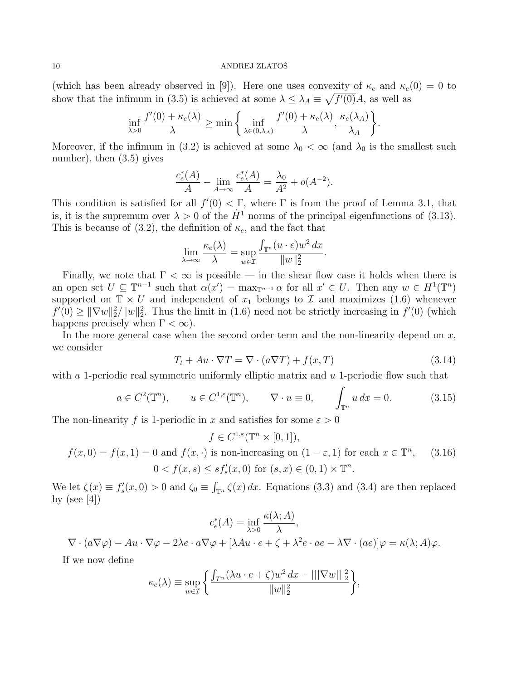#### 10 ANDREJ ZLATOŠ

(which has been already observed in [9]). Here one uses convexity of  $\kappa_e$  and  $\kappa_e$  (0) = 0 to show that the infimum in (3.5) is achieved at some  $\lambda \leq \lambda_A \equiv \sqrt{f'(0)}A$ , as well as

$$
\inf_{\lambda>0} \frac{f'(0) + \kappa_e(\lambda)}{\lambda} \ge \min\left\{\inf_{\lambda \in (0,\lambda_A)} \frac{f'(0) + \kappa_e(\lambda)}{\lambda}, \frac{\kappa_e(\lambda_A)}{\lambda_A}\right\}
$$

Moreover, if the infimum in (3.2) is achieved at some  $\lambda_0 < \infty$  (and  $\lambda_0$  is the smallest such number), then (3.5) gives

$$
\frac{c_e^*(A)}{A} - \lim_{A \to \infty} \frac{c_e^*(A)}{A} = \frac{\lambda_0}{A^2} + o(A^{-2}).
$$

This condition is satisfied for all  $f'(0) < \Gamma$ , where  $\Gamma$  is from the proof of Lemma 3.1, that is, it is the supremum over  $\lambda > 0$  of the  $\dot{H}^1$  norms of the principal eigenfunctions of (3.13). This is because of (3.2), the definition of  $\kappa_e$ , and the fact that

$$
\lim_{\lambda \to \infty} \frac{\kappa_e(\lambda)}{\lambda} = \sup_{w \in \mathcal{I}} \frac{\int_{\mathbb{T}^n} (u \cdot e) w^2 dx}{\|w\|_2^2}.
$$

Finally, we note that  $\Gamma < \infty$  is possible — in the shear flow case it holds when there is an open set  $U \subseteq \mathbb{T}^{n-1}$  such that  $\alpha(x') = \max_{\mathbb{T}^{n-1}} \alpha$  for all  $x' \in U$ . Then any  $w \in H^1(\mathbb{T}^n)$ supported on  $\mathbb{T} \times U$  and independent of  $x_1$  belongs to  $\mathcal I$  and maximizes (1.6) whenever  $f'(0) \geq ||\nabla w||_2^2/||w||_2^2$ . Thus the limit in (1.6) need not be strictly increasing in  $f'(0)$  (which happens precisely when  $\Gamma < \infty$ ).

In the more general case when the second order term and the non-linearity depend on  $x$ , we consider

$$
T_t + Au \cdot \nabla T = \nabla \cdot (a\nabla T) + f(x, T) \tag{3.14}
$$

.

with a 1-periodic real symmetric uniformly elliptic matrix and  $u$  1-periodic flow such that

$$
a \in C^2(\mathbb{T}^n)
$$
,  $u \in C^{1,\varepsilon}(\mathbb{T}^n)$ ,  $\nabla \cdot u \equiv 0$ ,  $\int_{\mathbb{T}^n} u \, dx = 0$ . (3.15)

The non-linearity f is 1-periodic in x and satisfies for some  $\varepsilon > 0$ 

$$
f \in C^{1,\varepsilon}(\mathbb{T}^n \times [0,1]),
$$

$$
f(x,0) = f(x,1) = 0 \text{ and } f(x,\cdot) \text{ is non-increasing on } (1-\varepsilon,1) \text{ for each } x \in \mathbb{T}^n, \quad (3.16)
$$

$$
0 < f(x,s) \leq s f'_s(x,0) \text{ for } (s,x) \in (0,1) \times \mathbb{T}^n.
$$

We let  $\zeta(x) \equiv f'_s(x,0) > 0$  and  $\zeta_0 \equiv \int_{\mathbb{T}^n} \zeta(x) dx$ . Equations (3.3) and (3.4) are then replaced by (see  $[4]$ )

$$
c_e^*(A) = \inf_{\lambda > 0} \frac{\kappa(\lambda; A)}{\lambda},
$$

 $\nabla \cdot (a\nabla \varphi) - Au \cdot \nabla \varphi - 2\lambda e \cdot a\nabla \varphi + [\lambda Au \cdot e + \zeta + \lambda^2 e \cdot ae - \lambda \nabla \cdot (ae)] \varphi = \kappa(\lambda;A)\varphi.$ 

If we now define

$$
\kappa_e(\lambda) \equiv \sup_{w \in \mathcal{I}} \left\{ \frac{\int_{T^n} (\lambda u \cdot e + \zeta) w^2 dx - |||\nabla w|||^2_2}{\|w\|^2_2} \right\},\,
$$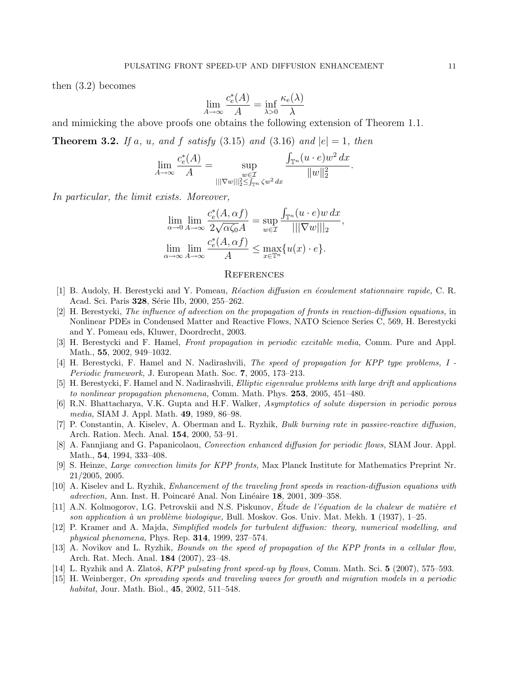then (3.2) becomes

$$
\lim_{A \to \infty} \frac{c_e^*(A)}{A} = \inf_{\lambda > 0} \frac{\kappa_e(\lambda)}{\lambda}
$$

and mimicking the above proofs one obtains the following extension of Theorem 1.1.

**Theorem 3.2.** If a, u, and f satisfy  $(3.15)$  and  $(3.16)$  and  $|e|=1$ , then

$$
\lim_{A \to \infty} \frac{c_e^*(A)}{A} = \sup_{\substack{w \in \mathcal{I} \\ |||\nabla w||_2^2 \leq \int_{\mathbb{T}^n} \zeta w^2 dx}} \frac{\int_{\mathbb{T}^n} (u \cdot e) w^2 dx}{\|w\|_2^2}.
$$

In particular, the limit exists. Moreover,

$$
\lim_{\alpha \to 0} \lim_{A \to \infty} \frac{c_e^*(A, \alpha f)}{2\sqrt{\alpha \zeta_0} A} = \sup_{w \in \mathcal{I}} \frac{\int_{\mathbb{T}^n} (u \cdot e)w \, dx}{|||\nabla w|||_2},
$$
  

$$
\lim_{\alpha \to \infty} \lim_{A \to \infty} \frac{c_e^*(A, \alpha f)}{A} \le \max_{x \in \mathbb{T}^n} \{u(x) \cdot e\}.
$$

## **REFERENCES**

- [1] B. Audoly, H. Berestycki and Y. Pomeau, *Réaction diffusion en écoulement stationnaire rapide*, C. R. Acad. Sci. Paris 328, Série IIb, 2000, 255–262.
- [2] H. Berestycki, The influence of advection on the propagation of fronts in reaction-diffusion equations, in Nonlinear PDEs in Condensed Matter and Reactive Flows, NATO Science Series C, 569, H. Berestycki and Y. Pomeau eds, Kluwer, Doordrecht, 2003.
- [3] H. Berestycki and F. Hamel, Front propagation in periodic excitable media, Comm. Pure and Appl. Math., 55, 2002, 949–1032.
- [4] H. Berestycki, F. Hamel and N. Nadirashvili, The speed of propagation for KPP type problems, I Periodic framework, J. European Math. Soc. 7, 2005, 173–213.
- [5] H. Berestycki, F. Hamel and N. Nadirashvili, Elliptic eigenvalue problems with large drift and applications to nonlinear propagation phenomena, Comm. Math. Phys. 253, 2005, 451–480.
- [6] R.N. Bhattacharya, V.K. Gupta and H.F. Walker, Asymptotics of solute dispersion in periodic porous media, SIAM J. Appl. Math. 49, 1989, 86–98.
- [7] P. Constantin, A. Kiselev, A. Oberman and L. Ryzhik, Bulk burning rate in passive-reactive diffusion, Arch. Ration. Mech. Anal. 154, 2000, 53–91.
- [8] A. Fanniiang and G. Papanicolaou, *Convection enhanced diffusion for periodic flows*, SIAM Jour. Appl. Math., **54**, 1994, 333-408.
- [9] S. Heinze, Large convection limits for KPP fronts, Max Planck Institute for Mathematics Preprint Nr. 21/2005, 2005.
- [10] A. Kiselev and L. Ryzhik, Enhancement of the traveling front speeds in reaction-diffusion equations with advection, Ann. Inst. H. Poincaré Anal. Non Linéaire 18, 2001, 309–358.
- [11] A.N. Kolmogorov, I.G. Petrovskii and N.S. Piskunov, Étude de l'équation de la chaleur de matière et son application à un problème biologique, Bull. Moskov. Gos. Univ. Mat. Mekh.  $1$  (1937), 1–25.
- [12] P. Kramer and A. Majda, Simplified models for turbulent diffusion: theory, numerical modelling, and physical phenomena, Phys. Rep. 314, 1999, 237–574.
- [13] A. Novikov and L. Ryzhik, Bounds on the speed of propagation of the KPP fronts in a cellular flow, Arch. Rat. Mech. Anal. 184 (2007), 23–48.
- [14] L. Ryzhik and A. Zlatoš, KPP pulsating front speed-up by flows, Comm. Math. Sci.  $5$  (2007), 575–593.
- [15] H. Weinberger, On spreading speeds and traveling waves for growth and migration models in a periodic habitat, Jour. Math. Biol., 45, 2002, 511–548.